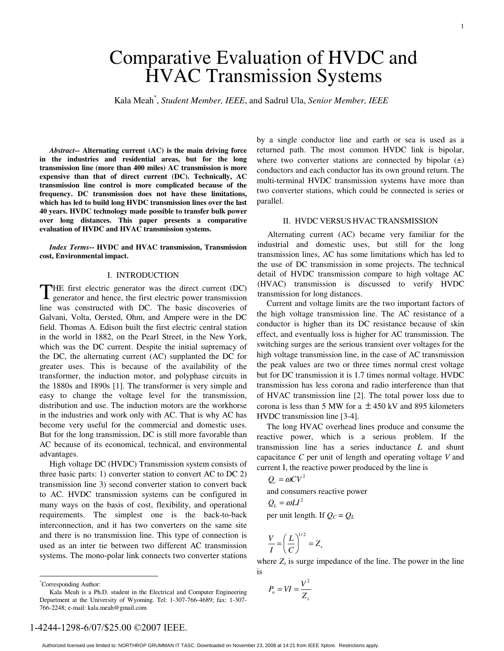# Comparative Evaluation of HVDC and HVAC Transmission Systems

Kala Meah\* , *Student Member, IEEE*, and Sadrul Ula, *Senior Member, IEEE*

*Abstract***-- Alternating current (AC) is the main driving force in the industries and residential areas, but for the long transmission line (more than 400 miles) AC transmission is more expensive than that of direct current (DC). Technically, AC transmission line control is more complicated because of the frequency. DC transmission does not have these limitations, which has led to build long HVDC transmission lines over the last 40 years. HVDC technology made possible to transfer bulk power over long distances. This paper presents a comparative evaluation of HVDC and HVAC transmission systems.** 

*Index Terms***-- HVDC and HVAC transmission, Transmission cost, Environmental impact.** 

#### I. INTRODUCTION

THE first electric generator was the direct current (DC) generator and hence, the first electric power transmission generator and hence, the first electric power transmission line was constructed with DC. The basic discoveries of Galvani, Volta, Oersted, Ohm, and Ampere were in the DC field. Thomas A. Edison built the first electric central station in the world in 1882, on the Pearl Street, in the New York, which was the DC current. Despite the initial supremacy of the DC, the alternating current (AC) supplanted the DC for greater uses. This is because of the availability of the transformer, the induction motor, and polyphase circuits in the 1880s and 1890s [1]. The transformer is very simple and easy to change the voltage level for the transmission, distribution and use. The induction motors are the workhorse in the industries and work only with AC. That is why AC has become very useful for the commercial and domestic uses. But for the long transmission, DC is still more favorable than AC because of its economical, technical, and environmental advantages.

High voltage DC (HVDC) Transmission system consists of three basic parts: 1) converter station to convert AC to DC 2) transmission line 3) second converter station to convert back to AC. HVDC transmission systems can be configured in many ways on the basis of cost, flexibility, and operational requirements. The simplest one is the back-to-back interconnection, and it has two converters on the same site and there is no transmission line. This type of connection is used as an inter tie between two different AC transmission systems. The mono-polar link connects two converter stations

 $\overline{a}$ 

by a single conductor line and earth or sea is used as a returned path. The most common HVDC link is bipolar, where two converter stations are connected by bipolar  $(\pm)$ conductors and each conductor has its own ground return. The multi-terminal HVDC transmission systems have more than two converter stations, which could be connected is series or parallel.

#### II. HVDC VERSUS HVAC TRANSMISSION

Alternating current (AC) became very familiar for the industrial and domestic uses, but still for the long transmission lines, AC has some limitations which has led to the use of DC transmission in some projects. The technical detail of HVDC transmission compare to high voltage AC (HVAC) transmission is discussed to verify HVDC transmission for long distances.

Current and voltage limits are the two important factors of the high voltage transmission line. The AC resistance of a conductor is higher than its DC resistance because of skin effect, and eventually loss is higher for AC transmission. The switching surges are the serious transient over voltages for the high voltage transmission line, in the case of AC transmission the peak values are two or three times normal crest voltage but for DC transmission it is 1.7 times normal voltage. HVDC transmission has less corona and radio interference than that of HVAC transmission line [2]. The total power loss due to corona is less than 5 MW for a  $\pm$  450 kV and 895 kilometers HVDC transmission line [3-4].

The long HVAC overhead lines produce and consume the reactive power, which is a serious problem. If the transmission line has a series inductance *L* and shunt capacitance *C* per unit of length and operating voltage *V* and current I, the reactive power produced by the line is

$$
Q_c = \omega C V^2
$$
  
and consumers reactive power  
 $Q_L = \omega L I^2$   
per unit length. If  $Q_C = Q_L$ 

$$
\frac{V}{I} = \left(\frac{L}{C}\right)^{1/2} = Z_s
$$

 $\frac{V}{I} = \left(\frac{E}{C}\right)^{T} = Z_s$ <br>where  $Z_s$  is surge impedance of the line. The power in the line is

$$
P_n = VI = \frac{V^2}{Z_s}
$$

1-4244-1298-6/07/\$25.00 ©2007 IEEE.

<sup>\*</sup> Corresponding Author:

Kala Meah is a Ph.D. student in the Electrical and Computer Engineering Department at the University of Wyoming. Tel: 1-307-766-4689; fax: 1-307- 766-2248; e-mail: kala.meah@gmail.com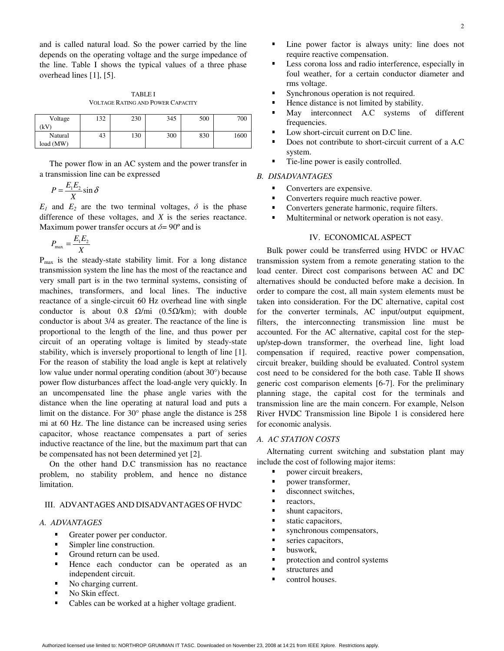and is called natural load. So the power carried by the line depends on the operating voltage and the surge impedance of the line. Table I shows the typical values of a three phase overhead lines [1], [5].

TABLE I VOLTAGE RATING AND POWER CAPACITY

| Voltage   | 132 | 230 | 345 | 500 | 700  |
|-----------|-----|-----|-----|-----|------|
| `kV)      |     |     |     |     |      |
| Natural   | 43  | 130 | 300 | 830 | 1600 |
| load (MW) |     |     |     |     |      |

The power flow in an AC system and the power transfer in a transmission line can be expressed

$$
P = \frac{E_1 E_2}{X} \sin \delta
$$

 $E_1$  and  $E_2$  are the two terminal voltages,  $\delta$  is the phase difference of these voltages, and *X* is the series reactance. Maximum power transfer occurs at  $\delta = 90^{\circ}$  and is

$$
P_{\max} = \frac{E_1 E_2}{X}
$$

 $P_{\text{max}}$  is the steady-state stability limit. For a long distance transmission system the line has the most of the reactance and very small part is in the two terminal systems, consisting of machines, transformers, and local lines. The inductive reactance of a single-circuit 60 Hz overhead line with single conductor is about 0.8  $Ω/min$  (0.5 $Ω/km$ ); with double conductor is about 3/4 as greater. The reactance of the line is proportional to the length of the line, and thus power per circuit of an operating voltage is limited by steady-state stability, which is inversely proportional to length of line [1]. For the reason of stability the load angle is kept at relatively low value under normal operating condition (about 30°) because power flow disturbances affect the load-angle very quickly. In an uncompensated line the phase angle varies with the distance when the line operating at natural load and puts a limit on the distance. For 30° phase angle the distance is 258 mi at 60 Hz. The line distance can be increased using series capacitor, whose reactance compensates a part of series inductive reactance of the line, but the maximum part that can be compensated has not been determined yet [2].

On the other hand D.C transmission has no reactance problem, no stability problem, and hence no distance limitation.

#### III. ADVANTAGES AND DISADVANTAGES OF HVDC

#### *A. ADVANTAGES*

- Greater power per conductor.<br>Simpler line construction.
- 
- Ground return can be used.
- Ground return can be used.<br>• Hence each conductor c Hence each conductor can be operated as an independent circuit. independent circuit.
- No charging current.<br>No Skin effect.
- 
- No Skin effect.<br>Cables can be w • Cables can be worked at a higher voltage gradient.
- Line power factor is always unity: line does not require reactive compensation.
- Less corona loss and radio interference, especially in foul weather, for a certain conductor diameter and rms voltage.
- 
- Synchronous operation is not required.<br>
Hence distance is not limited by stability
- Hence distance is not limited by stability.<br>■ May interconnect A.C systems of May interconnect A.C systems of different frequencies.
- Low short-circuit current on D.C line.
- Does not contribute to short-circuit current of a A.C system.
- Tie-line power is easily controlled.

# *B. DISADVANTAGES*

- 
- Converters are expensive.<br>• Converters require much reactive power.<br>• Converters generate harmonic, require fil
- **Converters generate harmonic, require filters.**<br>Multiterminal or network operation is not easy
- Converters generate harmonic, require filters.<br>• Multiterminal or network operation is not easy **Multiterminal or network operation is not easy.**<br> $\blacksquare$

## IV. ECONOMICAL ASPECT

Bulk power could be transferred using HVDC or HVAC transmission system from a remote generating station to the load center. Direct cost comparisons between AC and DC alternatives should be conducted before make a decision. In order to compare the cost, all main system elements must be taken into consideration. For the DC alternative, capital cost for the converter terminals, AC input/output equipment, filters, the interconnecting transmission line must be accounted. For the AC alternative, capital cost for the stepup/step-down transformer, the overhead line, light load compensation if required, reactive power compensation, circuit breaker, building should be evaluated. Control system cost need to be considered for the both case. Table II shows generic cost comparison elements [6-7]. For the preliminary planning stage, the capital cost for the terminals and transmission line are the main concern. For example, Nelson River HVDC Transmission line Bipole 1 is considered here for economic analysis.

#### *A. AC STATION COSTS*

Alternating current switching and substation plant may include the cost of following major items:

- power circuit breakers,<br>power transformer,<br>disconnect switches
- 
- power transformer,<br>• disconnect switches ■ disconnect switches,<br>■ reactors,
- 
- reactors,<br>shunt cap shunt capacitors,<br>static capacitors,
- 
- static capacitors,<br>synchronous com synchronous compensators,<br>series capacitors,
- series capacitors,<br>buswork,
- 
- **buswork**,<br>**protection** • protection and control systems<br>• structures and
- 
- **structures and<br>control houses** ■ control houses.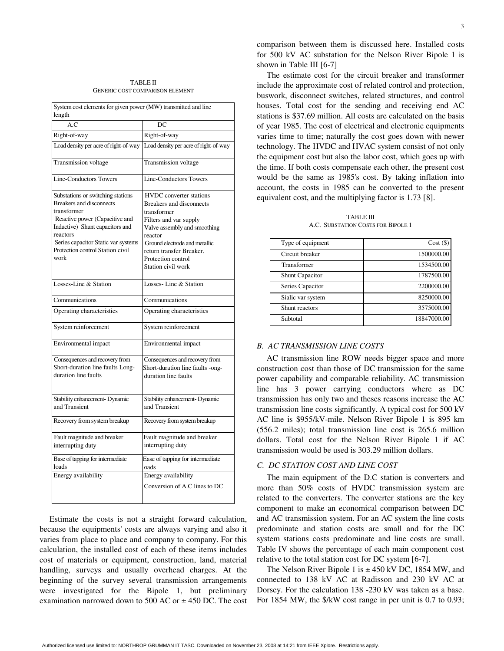TABLE II GENERIC COST COMPARISON ELEMENT

| System cost elements for given power (MW) transmitted and line<br>length                                                                                                                                                                                |                                                                                                                                                                                                                                                         |  |  |  |
|---------------------------------------------------------------------------------------------------------------------------------------------------------------------------------------------------------------------------------------------------------|---------------------------------------------------------------------------------------------------------------------------------------------------------------------------------------------------------------------------------------------------------|--|--|--|
| A.C                                                                                                                                                                                                                                                     | DC.                                                                                                                                                                                                                                                     |  |  |  |
| Right-of-way                                                                                                                                                                                                                                            | Right-of-way                                                                                                                                                                                                                                            |  |  |  |
| Load density per acre of right-of-way                                                                                                                                                                                                                   | Load density per acre of right-of-way                                                                                                                                                                                                                   |  |  |  |
| Transmission voltage                                                                                                                                                                                                                                    | Transmission voltage                                                                                                                                                                                                                                    |  |  |  |
| <b>Line-Conductors Towers</b>                                                                                                                                                                                                                           | <b>Line-Conductors Towers</b>                                                                                                                                                                                                                           |  |  |  |
| Substations or switching stations<br><b>Breakers and disconnects</b><br>transformer<br>Reactive power (Capacitive and<br>Inductive) Shunt capacitors and<br>reactors<br>Series capacitor Static var systems<br>Protection control Station civil<br>work | HVDC converter stations<br><b>Breakers</b> and disconnects<br>transformer<br>Filters and var supply<br>Valve assembly and smoothing<br>reactor<br>Ground electrode and metallic<br>return transfer Breaker.<br>Protection control<br>Station civil work |  |  |  |
| Losses-Line & Station                                                                                                                                                                                                                                   | Losses-Line & Station                                                                                                                                                                                                                                   |  |  |  |
| Communications                                                                                                                                                                                                                                          | Communications                                                                                                                                                                                                                                          |  |  |  |
| Operating characteristics                                                                                                                                                                                                                               | Operating characteristics                                                                                                                                                                                                                               |  |  |  |
| System reinforcement                                                                                                                                                                                                                                    | System reinforcement                                                                                                                                                                                                                                    |  |  |  |
| Environmental impact                                                                                                                                                                                                                                    | Environmental impact                                                                                                                                                                                                                                    |  |  |  |
| Consequences and recovery from<br>Short-duration line faults Long-<br>duration line faults                                                                                                                                                              | Consequences and recovery from<br>Short-duration line faults -ong-<br>duration line faults                                                                                                                                                              |  |  |  |
| Stability enhancement- Dynamic<br>and Transient                                                                                                                                                                                                         | Stability enhancement- Dynamic<br>and Transient                                                                                                                                                                                                         |  |  |  |
| Recovery from system breakup                                                                                                                                                                                                                            | Recovery from system breakup                                                                                                                                                                                                                            |  |  |  |
| Fault magnitude and breaker<br>interrupting duty                                                                                                                                                                                                        | Fault magnitude and breaker<br>interrupting duty                                                                                                                                                                                                        |  |  |  |
| Base of tapping for intermediate<br>loads                                                                                                                                                                                                               | Ease of tapping for intermediate<br>oads                                                                                                                                                                                                                |  |  |  |
| Energy availability                                                                                                                                                                                                                                     | Energy availability                                                                                                                                                                                                                                     |  |  |  |
|                                                                                                                                                                                                                                                         | Conversion of A.C lines to DC                                                                                                                                                                                                                           |  |  |  |

Estimate the costs is not a straight forward calculation, because the equipments' costs are always varying and also it varies from place to place and company to company. For this calculation, the installed cost of each of these items includes cost of materials or equipment, construction, land, material handling, surveys and usually overhead charges. At the beginning of the survey several transmission arrangements were investigated for the Bipole 1, but preliminary examination narrowed down to 500 AC or  $\pm$  450 DC. The cost

comparison between them is discussed here. Installed costs for 500 kV AC substation for the Nelson River Bipole 1 is shown in Table III [6-7]

The estimate cost for the circuit breaker and transformer include the approximate cost of related control and protection, buswork, disconnect switches, related structures, and control houses. Total cost for the sending and receiving end AC stations is \$37.69 million. All costs are calculated on the basis of year 1985. The cost of electrical and electronic equipments varies time to time; naturally the cost goes down with newer technology. The HVDC and HVAC system consist of not only the equipment cost but also the labor cost, which goes up with the time. If both costs compensate each other, the present cost would be the same as 1985's cost. By taking inflation into account, the costs in 1985 can be converted to the present equivalent cost, and the multiplying factor is 1.73 [8].

TABLE III A.C. SUBSTATION COSTS FOR BIPOLE 1

| Type of equipment      | $Cost($ \$) |  |
|------------------------|-------------|--|
| Circuit breaker        | 1500000.00  |  |
| Transformer            | 1534500.00  |  |
| <b>Shunt Capacitor</b> | 1787500.00  |  |
| Series Capacitor       | 2200000.00  |  |
| Sialic var system      | 8250000.00  |  |
| Shunt reactors         | 3575000.00  |  |
| Subtotal               | 18847000.00 |  |

#### *B. AC TRANSMISSION LINE COSTS*

AC transmission line ROW needs bigger space and more construction cost than those of DC transmission for the same power capability and comparable reliability. AC transmission line has 3 power carrying conductors where as DC transmission has only two and theses reasons increase the AC transmission line costs significantly. A typical cost for 500 kV AC line is \$955/kV-mile. Nelson River Bipole 1 is 895 km (556.2 miles); total transmission line cost is 265.6 million dollars. Total cost for the Nelson River Bipole 1 if AC transmission would be used is 303.29 million dollars.

# *C. DC STATION COST AND LINE COST*

The main equipment of the D.C station is converters and more than 50% costs of HVDC transmission system are related to the converters. The converter stations are the key component to make an economical comparison between DC and AC transmission system. For an AC system the line costs predominate and station costs are small and for the DC system stations costs predominate and line costs are small. Table IV shows the percentage of each main component cost relative to the total station cost for DC system [6-7].

The Nelson River Bipole 1 is  $\pm$  450 kV DC, 1854 MW, and connected to 138 kV AC at Radisson and 230 kV AC at Dorsey. For the calculation 138 -230 kV was taken as a base. For 1854 MW, the \$/kW cost range in per unit is 0.7 to 0.93;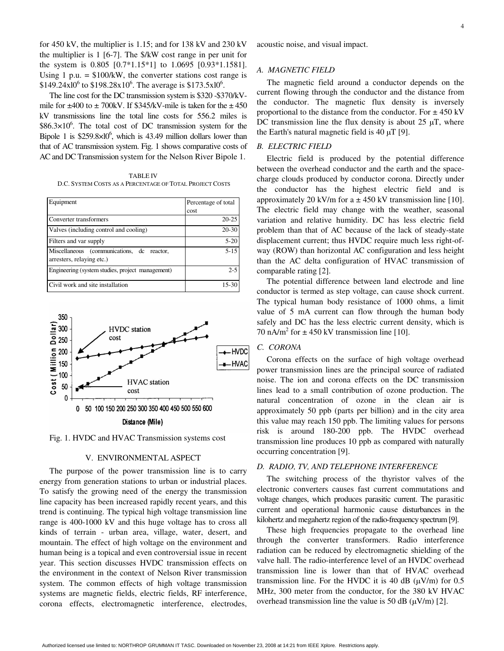for 450 kV, the multiplier is 1.15; and for 138 kV and 230 kV the multiplier is 1 [6-7]. The \$/kW cost range in per unit for the system is 0.805 [0.7\*1.15\*1] to 1.0695 [0.93\*1.1581]. Using 1 p.u.  $=$  \$100/kW, the converter stations cost range is  $$149.24 \times 10^6$  to  $$198.28 \times 10^6$ . The average is  $$173.5 \times 10^6$ .

The line cost for the DC transmission system is \$320 -\$370/kVmile for  $\pm$ 400 to  $\pm$  700kV. If \$345/kV-mile is taken for the  $\pm$  450 kV transmissions line the total line costs for 556.2 miles is  $$86.3\times10^{6}$ . The total cost of DC transmission system for the Bipole 1 is  $$259.8\times10^6$ , which is 43.49 million dollars lower than that of AC transmission system. Fig. 1 shows comparative costs of AC and DC Transmission system for the Nelson River Bipole 1.

TABLE IV D.C. SYSTEM COSTS AS A PERCENTAGE OF TOTAL PROJECT COSTS

| Equipment                                                               | Percentage of total |
|-------------------------------------------------------------------------|---------------------|
|                                                                         | cost                |
| Converter transformers                                                  | $20 - 25$           |
| Valves (including control and cooling)                                  | $20 - 30$           |
| Filters and var supply                                                  | $5 - 20$            |
| Miscellaneous (communications, dc reactor,<br>arresters, relaying etc.) | $5 - 15$            |
| Engineering (system studies, project management)                        | $2 - 5$             |
| Civil work and site installation                                        | 15-30               |



Fig. 1. HVDC and HVAC Transmission systems cost

#### V. ENVIRONMENTAL ASPECT

The purpose of the power transmission line is to carry energy from generation stations to urban or industrial places. To satisfy the growing need of the energy the transmission line capacity has been increased rapidly recent years, and this trend is continuing. The typical high voltage transmission line range is 400-1000 kV and this huge voltage has to cross all kinds of terrain - urban area, village, water, desert, and mountain. The effect of high voltage on the environment and human being is a topical and even controversial issue in recent year. This section discusses HVDC transmission effects on the environment in the context of Nelson River transmission system. The common effects of high voltage transmission systems are magnetic fields, electric fields, RF interference, corona effects, electromagnetic interference, electrodes,

acoustic noise, and visual impact.

#### *A. MAGNETIC FIELD*

The magnetic field around a conductor depends on the current flowing through the conductor and the distance from the conductor. The magnetic flux density is inversely proportional to the distance from the conductor. For  $\pm$  450 kV DC transmission line the flux density is about  $25 \mu$ T, where the Earth's natural magnetic field is  $40 \mu T$  [9].

#### *B. ELECTRIC FIELD*

Electric field is produced by the potential difference between the overhead conductor and the earth and the spacecharge clouds produced by conductor corona. Directly under the conductor has the highest electric field and is approximately 20 kV/m for  $a \pm 450$  kV transmission line [10]. The electric field may change with the weather, seasonal variation and relative humidity. DC has less electric field problem than that of AC because of the lack of steady-state displacement current; thus HVDC require much less right-ofway (ROW) than horizontal AC configuration and less height than the AC delta configuration of HVAC transmission of comparable rating [2].

The potential difference between land electrode and line conductor is termed as step voltage, can cause shock current. The typical human body resistance of 1000 ohms, a limit value of 5 mA current can flow through the human body safely and DC has the less electric current density, which is 70 nA/m<sup>2</sup> for  $\pm$  450 kV transmission line [10].

## *C. CORONA*

Corona effects on the surface of high voltage overhead power transmission lines are the principal source of radiated noise. The ion and corona effects on the DC transmission lines lead to a small contribution of ozone production. The natural concentration of ozone in the clean air is approximately 50 ppb (parts per billion) and in the city area this value may reach 150 ppb. The limiting values for persons risk is around 180-200 ppb. The HVDC overhead transmission line produces 10 ppb as compared with naturally occurring concentration [9].

#### *D. RADIO, TV, AND TELEPHONE INTERFERENCE*

The switching process of the thyristor valves of the electronic converters causes fast current commutations and voltage changes, which produces parasitic current. The parasitic current and operational harmonic cause disturbances in the kilohertz and megahertz region of the radio-frequency spectrum [9].

These high frequencies propagate to the overhead line through the converter transformers. Radio interference radiation can be reduced by electromagnetic shielding of the valve hall. The radio-interference level of an HVDC overhead transmission line is lower than that of HVAC overhead transmission line. For the HVDC it is 40 dB  $(\mu V/m)$  for 0.5 MHz, 300 meter from the conductor, for the 380 kV HVAC overhead transmission line the value is 50 dB  $(\mu V/m)$  [2].